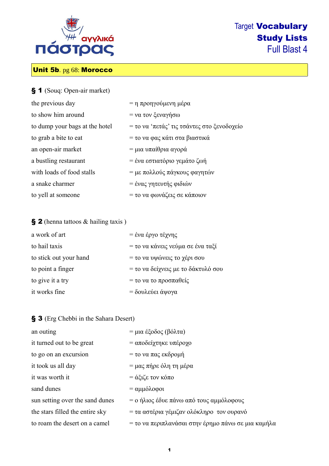

# Target Vocabulary Study Lists Full Blast 4

# Unit 5b. pg 68: Morocco

| § 1 (Souq: Open-air market)    |                                            |
|--------------------------------|--------------------------------------------|
| the previous day               | = η προηγούμενη μέρα                       |
| to show him around             | = να τον ξεναγήσω                          |
| to dump your bags at the hotel | = το να 'πετάς' τις τσάντες στο ξενοδοχείο |
| to grab a bite to eat          | = το να φας κάτι στα βιαστικά              |
| an open-air market             | = μια υπαίθρια αγορά                       |
| a bustling restaurant          | = ένα εστιατόριο γεμάτο ζωή                |
| with loads of food stalls      | = με πολλούς πάγκους φαγητών               |
| a snake charmer                | = ένας γητευτής φιδιών                     |
| to yell at someone             | = το να φωνάζεις σε κάποιον                |

### § 2 (henna tattoos & hailing taxis)

| a work of art          | = ένα έργο τέχνης                  |
|------------------------|------------------------------------|
| to hail taxis          | = το να κάνεις νεύμα σε ένα ταξί   |
| to stick out your hand | = το να υψώνεις το χέρι σου        |
| to point a finger      | = το να δείχνεις με το δάκτυλό σου |
| to give it a try       | = το να το προσπαθείς              |
| it works fine          | = δουλεύει άψογα                   |

### § 3 (Erg Chebbi in the Sahara Desert)

| an outing                       | = μια έξοδος (βόλτα)                                        |
|---------------------------------|-------------------------------------------------------------|
| it turned out to be great       | = αποδείχτηκε υπέροχο                                       |
| to go on an excursion           | = το να πας εκδρομή                                         |
| it took us all day              | $= \mu \alpha \varsigma \pi \eta \rho \epsilon$ όλη τη μέρα |
| it was worth it                 | $= \acute{\alpha} \xi$ ιζε τον κόπο                         |
| sand dunes                      | $= \alpha \mu \omega \lambda$ οφοι                          |
| sun setting over the sand dunes | = ο ήλιος έδυε πάνω από τους αμμόλοφους                     |
| the stars filled the entire sky | = τα αστέρια γέμιζαν ολόκληρο τον ουρανό                    |
| to roam the desert on a camel   | = το να περιπλανάσαι στην έρημο πάνω σε μια καμήλα          |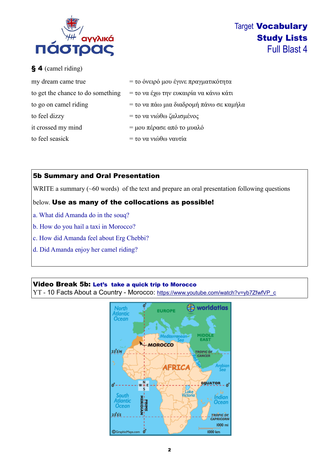

Target Vocabulary Study Lists Full Blast 4

## § 4 (camel riding)

| my dream came true                | = το όνειρό μου έγινε πραγματικότητα    |
|-----------------------------------|-----------------------------------------|
| to get the chance to do something | = το να έχω την ευκαιρία να κάνω κάτι   |
| to go on camel riding             | = το να πάω μια διαδρομή πάνω σε καμήλα |
| to feel dizzy                     | = το να νιώθω ζαλισμένος                |
| it crossed my mind                | = μου πέρασε από το μυαλό               |
| to feel seasick                   | = το να νιώθω ναυτία                    |

## 5b Summary and Oral Presentation

WRITE a summary (~60 words) of the text and prepare an oral presentation following questions

#### below. Use as many of the collocations as possible!

- a. What did Amanda do in the souq?
- b. How do you hail a taxi in Morocco?
- c. How did Amanda feel about Erg Chebbi?
- d. Did Amanda enjoy her camel riding?

#### Video Break 5b: Let's take a quick trip to Morocco

YT - 10 Facts About a Country - Morocco: [https://www.youtube.com/watch?v=yb7ZfwfVP\\_c](https://www.youtube.com/watch?v=yb7ZfwfVP_c)